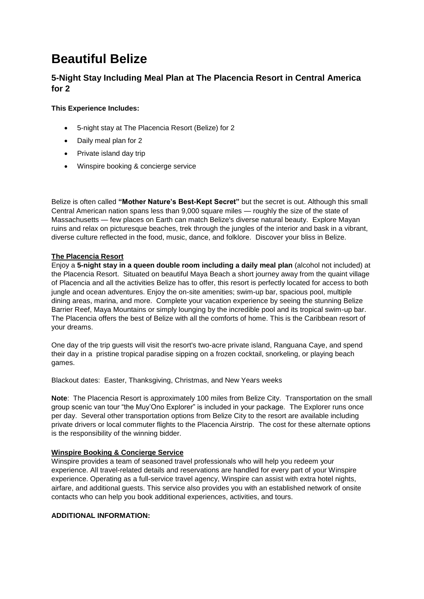# **Beautiful Belize**

# **5-Night Stay Including Meal Plan at The Placencia Resort in Central America for 2**

## **This Experience Includes:**

- 5-night stay at The Placencia Resort (Belize) for 2
- Daily meal plan for 2
- Private island day trip
- Winspire booking & concierge service

Belize is often called **"Mother Nature's Best-Kept Secret"** but the secret is out. Although this small Central American nation spans less than 9,000 square miles — roughly the size of the state of Massachusetts — few places on Earth can match Belize's diverse natural beauty. Explore Mayan ruins and relax on picturesque beaches, trek through the jungles of the interior and bask in a vibrant, diverse culture reflected in the food, music, dance, and folklore. Discover your bliss in Belize.

#### **The Placencia Resort**

Enjoy a **5-night stay in a queen double room including a daily meal plan** (alcohol not included) at the Placencia Resort. Situated on beautiful Maya Beach a short journey away from the quaint village of Placencia and all the activities Belize has to offer, this resort is perfectly located for access to both jungle and ocean adventures. Enjoy the on-site amenities; swim-up bar, spacious pool, multiple dining areas, marina, and more. Complete your vacation experience by seeing the stunning Belize Barrier Reef, Maya Mountains or simply lounging by the incredible pool and its tropical swim-up bar. The Placencia offers the best of Belize with all the comforts of home. This is the Caribbean resort of your dreams.

One day of the trip guests will visit the resort's two-acre private island, Ranguana Caye, and spend their day in a pristine tropical paradise sipping on a frozen cocktail, snorkeling, or playing beach games.

Blackout dates: Easter, Thanksgiving, Christmas, and New Years weeks

**Note**: The Placencia Resort is approximately 100 miles from Belize City. Transportation on the small group scenic van tour "the Muy'Ono Explorer" is included in your package. The Explorer runs once per day. Several other transportation options from Belize City to the resort are available including private drivers or local commuter flights to the Placencia Airstrip. The cost for these alternate options is the responsibility of the winning bidder.

### **Winspire Booking & Concierge Service**

Winspire provides a team of seasoned travel professionals who will help you redeem your experience. All travel-related details and reservations are handled for every part of your Winspire experience. Operating as a full-service travel agency, Winspire can assist with extra hotel nights, airfare, and additional guests. This service also provides you with an established network of onsite contacts who can help you book additional experiences, activities, and tours.

#### **ADDITIONAL INFORMATION:**